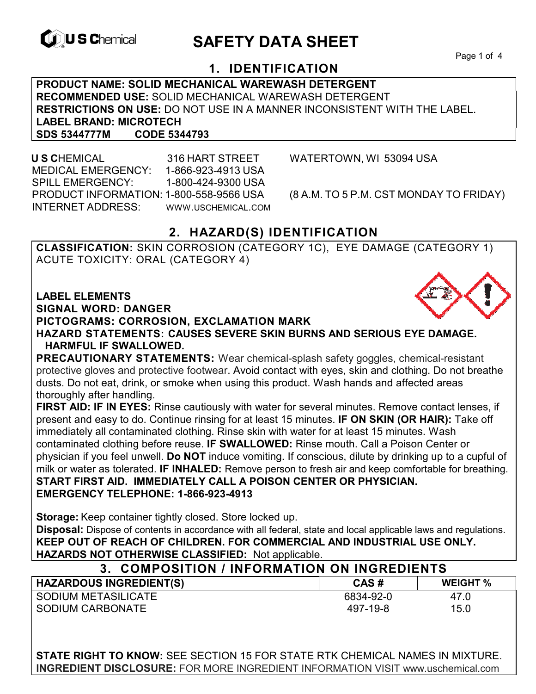

# **EXAGREM** SAFETY DATA SHEET

Page 1 of 4

### **1. IDENTIFICATION**

**PRODUCT NAME: SOLID MECHANICAL WAREWASH DETERGENT RECOMMENDED USE:** SOLID MECHANICAL WAREWASH DETERGENT **RESTRICTIONS ON USE:** DO NOT USE IN A MANNER INCONSISTENT WITH THE LABEL. **LABEL BRAND: MICROTECH SDS 5344777M CODE 5344793** 

 **U S C**HEMICAL 316 HART STREET WATERTOWN, WI 53094 USA MEDICAL EMERGENCY: 1-866-923-4913 USA SPILL EMERGENCY: 1-800-424-9300 USA PRODUCT INFORMATION: 1-800-558-9566 USA (8 A.M. TO 5 P.M. CST MONDAY TO FRIDAY) INTERNET ADDRESS: WWW.USCHEMICAL.COM

#### **2. HAZARD(S) IDENTIFICATION**

**CLASSIFICATION:** SKIN CORROSION (CATEGORY 1C), EYE DAMAGE (CATEGORY 1) ACUTE TOXICITY: ORAL (CATEGORY 4)

**LABEL ELEMENTS** 

**SIGNAL WORD: DANGER**

**PICTOGRAMS: CORROSION, EXCLAMATION MARK**

**HAZARD STATEMENTS: CAUSES SEVERE SKIN BURNS AND SERIOUS EYE DAMAGE. HARMFUL IF SWALLOWED.** 

**PRECAUTIONARY STATEMENTS:** Wear chemical-splash safety goggles, chemical-resistant protective gloves and protective footwear. Avoid contact with eyes, skin and clothing. Do not breathe dusts. Do not eat, drink, or smoke when using this product. Wash hands and affected areas thoroughly after handling.

**FIRST AID: IF IN EYES:** Rinse cautiously with water for several minutes. Remove contact lenses, if present and easy to do. Continue rinsing for at least 15 minutes. **IF ON SKIN (OR HAIR):** Take off immediately all contaminated clothing. Rinse skin with water for at least 15 minutes. Wash contaminated clothing before reuse. **IF SWALLOWED:** Rinse mouth. Call a Poison Center or physician if you feel unwell. **Do NOT** induce vomiting. If conscious, dilute by drinking up to a cupful of milk or water as tolerated. **IF INHALED:** Remove person to fresh air and keep comfortable for breathing. **START FIRST AID. IMMEDIATELY CALL A POISON CENTER OR PHYSICIAN. EMERGENCY TELEPHONE: 1-866-923-4913** 

**Storage:** Keep container tightly closed. Store locked up.

**Disposal:** Dispose of contents in accordance with all federal, state and local applicable laws and regulations. **KEEP OUT OF REACH OF CHILDREN. FOR COMMERCIAL AND INDUSTRIAL USE ONLY. HAZARDS NOT OTHERWISE CLASSIFIED:** Not applicable.

| 3. COMPOSITION / INFORMATION ON INGREDIENTS |           |                 |  |
|---------------------------------------------|-----------|-----------------|--|
| <b>HAZARDOUS INGREDIENT(S)</b>              | CAS#      | <b>WEIGHT %</b> |  |
| SODIUM METASILICATE                         | 6834-92-0 | 47.0            |  |
| SODIUM CARBONATE                            | 497-19-8  | 15.0            |  |

**STATE RIGHT TO KNOW:** SEE SECTION 15 FOR STATE RTK CHEMICAL NAMES IN MIXTURE. **INGREDIENT DISCLOSURE:** FOR MORE INGREDIENT INFORMATION VISIT www.uschemical.com

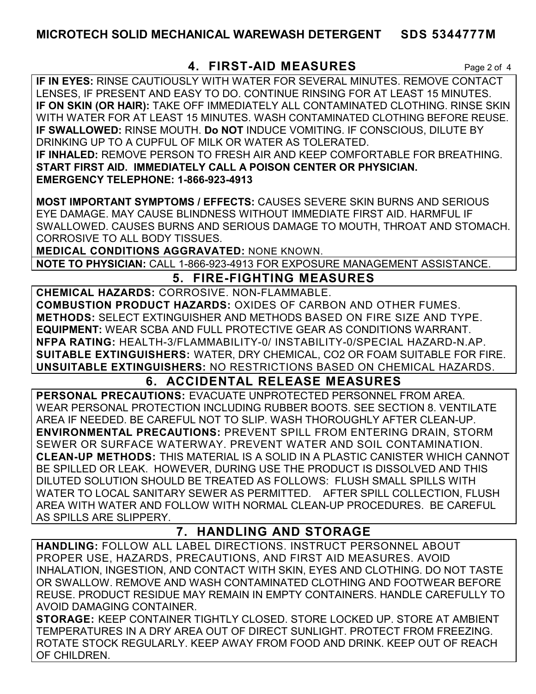#### **MICROTECH SOLID MECHANICAL WAREWASH DETERGENT SDS 5344777M**

#### **4. FIRST-AID MEASURES** Page 2 of 4

**IF IN EYES:** RINSE CAUTIOUSLY WITH WATER FOR SEVERAL MINUTES. REMOVE CONTACT LENSES, IF PRESENT AND EASY TO DO. CONTINUE RINSING FOR AT LEAST 15 MINUTES. **IF ON SKIN (OR HAIR):** TAKE OFF IMMEDIATELY ALL CONTAMINATED CLOTHING. RINSE SKIN WITH WATER FOR AT LEAST 15 MINUTES. WASH CONTAMINATED CLOTHING BEFORE REUSE. **IF SWALLOWED:** RINSE MOUTH. **Do NOT** INDUCE VOMITING. IF CONSCIOUS, DILUTE BY DRINKING UP TO A CUPFUL OF MILK OR WATER AS TOLERATED. **IF INHALED:** REMOVE PERSON TO FRESH AIR AND KEEP COMFORTABLE FOR BREATHING. **START FIRST AID. IMMEDIATELY CALL A POISON CENTER OR PHYSICIAN. EMERGENCY TELEPHONE: 1-866-923-4913**

**MOST IMPORTANT SYMPTOMS / EFFECTS:** CAUSES SEVERE SKIN BURNS AND SERIOUS EYE DAMAGE. MAY CAUSE BLINDNESS WITHOUT IMMEDIATE FIRST AID. HARMFUL IF SWALLOWED. CAUSES BURNS AND SERIOUS DAMAGE TO MOUTH, THROAT AND STOMACH. CORROSIVE TO ALL BODY TISSUES.

**MEDICAL CONDITIONS AGGRAVATED:** NONE KNOWN.

**NOTE TO PHYSICIAN:** CALL 1-866-923-4913 FOR EXPOSURE MANAGEMENT ASSISTANCE.

### **5. FIRE-FIGHTING MEASURES**

**CHEMICAL HAZARDS:** CORROSIVE. NON-FLAMMABLE. **COMBUSTION PRODUCT HAZARDS:** OXIDES OF CARBON AND OTHER FUMES. **METHODS:** SELECT EXTINGUISHER AND METHODS BASED ON FIRE SIZE AND TYPE. **EQUIPMENT:** WEAR SCBA AND FULL PROTECTIVE GEAR AS CONDITIONS WARRANT. **NFPA RATING:** HEALTH-3/FLAMMABILITY-0/ INSTABILITY-0/SPECIAL HAZARD-N.AP. **SUITABLE EXTINGUISHERS:** WATER, DRY CHEMICAL, CO2 OR FOAM SUITABLE FOR FIRE. **UNSUITABLE EXTINGUISHERS:** NO RESTRICTIONS BASED ON CHEMICAL HAZARDS.

### **6. ACCIDENTAL RELEASE MEASURES**

**PERSONAL PRECAUTIONS:** EVACUATE UNPROTECTED PERSONNEL FROM AREA. WEAR PERSONAL PROTECTION INCLUDING RUBBER BOOTS. SEE SECTION 8. VENTILATE AREA IF NEEDED. BE CAREFUL NOT TO SLIP. WASH THOROUGHLY AFTER CLEAN-UP. **ENVIRONMENTAL PRECAUTIONS:** PREVENT SPILL FROM ENTERING DRAIN, STORM SEWER OR SURFACE WATERWAY. PREVENT WATER AND SOIL CONTAMINATION. **CLEAN-UP METHODS:** THIS MATERIAL IS A SOLID IN A PLASTIC CANISTER WHICH CANNOT BE SPILLED OR LEAK. HOWEVER, DURING USE THE PRODUCT IS DISSOLVED AND THIS DILUTED SOLUTION SHOULD BE TREATED AS FOLLOWS: FLUSH SMALL SPILLS WITH WATER TO LOCAL SANITARY SEWER AS PERMITTED. AFTER SPILL COLLECTION, FLUSH AREA WITH WATER AND FOLLOW WITH NORMAL CLEAN-UP PROCEDURES. BE CAREFUL AS SPILLS ARE SLIPPERY.

### **7. HANDLING AND STORAGE**

**HANDLING:** FOLLOW ALL LABEL DIRECTIONS. INSTRUCT PERSONNEL ABOUT PROPER USE, HAZARDS, PRECAUTIONS, AND FIRST AID MEASURES. AVOID INHALATION, INGESTION, AND CONTACT WITH SKIN, EYES AND CLOTHING. DO NOT TASTE OR SWALLOW. REMOVE AND WASH CONTAMINATED CLOTHING AND FOOTWEAR BEFORE REUSE. PRODUCT RESIDUE MAY REMAIN IN EMPTY CONTAINERS. HANDLE CAREFULLY TO AVOID DAMAGING CONTAINER.

**STORAGE:** KEEP CONTAINER TIGHTLY CLOSED. STORE LOCKED UP. STORE AT AMBIENT TEMPERATURES IN A DRY AREA OUT OF DIRECT SUNLIGHT. PROTECT FROM FREEZING. ROTATE STOCK REGULARLY. KEEP AWAY FROM FOOD AND DRINK. KEEP OUT OF REACH OF CHILDREN.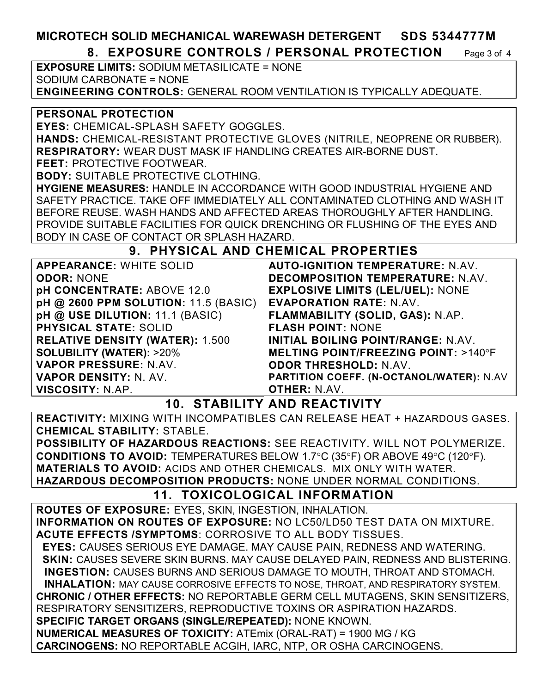## **MICROTECH SOLID MECHANICAL WAREWASH DETERGENT SDS 5344777M**

**8. EXPOSURE CONTROLS / PERSONAL PROTECTION** Page 3 of 4

**EXPOSURE LIMITS:** SODIUM METASILICATE = NONE SODIUM CARBONATE = NONE **ENGINEERING CONTROLS:** GENERAL ROOM VENTILATION IS TYPICALLY ADEQUATE.

#### **PERSONAL PROTECTION**

**EYES:** CHEMICAL-SPLASH SAFETY GOGGLES.

**HANDS:** CHEMICAL-RESISTANT PROTECTIVE GLOVES (NITRILE, NEOPRENE OR RUBBER). **RESPIRATORY:** WEAR DUST MASK IF HANDLING CREATES AIR-BORNE DUST.

**FEET:** PROTECTIVE FOOTWEAR.

**BODY:** SUITABLE PROTECTIVE CLOTHING.

**HYGIENE MEASURES:** HANDLE IN ACCORDANCE WITH GOOD INDUSTRIAL HYGIENE AND SAFETY PRACTICE. TAKE OFF IMMEDIATELY ALL CONTAMINATED CLOTHING AND WASH IT BEFORE REUSE. WASH HANDS AND AFFECTED AREAS THOROUGHLY AFTER HANDLING. PROVIDE SUITABLE FACILITIES FOR QUICK DRENCHING OR FLUSHING OF THE EYES AND BODY IN CASE OF CONTACT OR SPLASH HAZARD.

#### **9. PHYSICAL AND CHEMICAL PROPERTIES**

| <b>APPEARANCE: WHITE SOLID</b>         | <b>AUTO-IGN</b>   |
|----------------------------------------|-------------------|
| <b>ODOR: NONE</b>                      | <b>DECOMPC</b>    |
| pH CONCENTRATE: ABOVE 12.0             | <b>EXPLOSIV</b>   |
| pH @ 2600 PPM SOLUTION: 11.5 (BASIC)   | <b>EVAPORA</b>    |
| pH @ USE DILUTION: 11.1 (BASIC)        | <b>FLAMMAB</b>    |
| <b>PHYSICAL STATE: SOLID</b>           | <b>FLASH PO</b>   |
| <b>RELATIVE DENSITY (WATER): 1.500</b> | <b>INITIAL BO</b> |
| <b>SOLUBILITY (WATER): &gt;20%</b>     | <b>MELTING</b>    |
| <b>VAPOR PRESSURE: N.AV.</b>           | <b>ODOR THE</b>   |
| <b>VAPOR DENSITY: N. AV.</b>           | <b>PARTITION</b>  |
| <b>VISCOSITY: N.AP.</b>                | <b>OTHER: N</b>   |

**IITION TEMPERATURE: N.AV. DECOMPOSITION TEMPERATURE:** N.AV. **E LIMITS (LEL/UEL): NONE EVAPORATION RATE:** N.AV. **ILITY (SOLID, GAS): N.AP. FINT: NONE DILING POINT/RANGE: N.AV. POINT/FREEZING POINT: >140°F ODOR THRESHOLD:** N.AV. **COEFF. (N-OCTANOL/WATER): N.AV OTHER:** N.AV.

### **10. STABILITY AND REACTIVITY**

**REACTIVITY:** MIXING WITH INCOMPATIBLES CAN RELEASE HEAT + HAZARDOUS GASES. **CHEMICAL STABILITY:** STABLE.

**POSSIBILITY OF HAZARDOUS REACTIONS:** SEE REACTIVITY. WILL NOT POLYMERIZE. **CONDITIONS TO AVOID:** TEMPERATURES BELOW 1.7°C (35°F) OR ABOVE 49°C (120°F). **MATERIALS TO AVOID:** ACIDS AND OTHER CHEMICALS. MIX ONLY WITH WATER. **HAZARDOUS DECOMPOSITION PRODUCTS:** NONE UNDER NORMAL CONDITIONS.

## **11. TOXICOLOGICAL INFORMATION**

**ROUTES OF EXPOSURE:** EYES, SKIN, INGESTION, INHALATION. **INFORMATION ON ROUTES OF EXPOSURE:** NO LC50/LD50 TEST DATA ON MIXTURE. **ACUTE EFFECTS /SYMPTOMS**: CORROSIVE TO ALL BODY TISSUES.  **EYES:** CAUSES SERIOUS EYE DAMAGE. MAY CAUSE PAIN, REDNESS AND WATERING.  **SKIN:** CAUSES SEVERE SKIN BURNS. MAY CAUSE DELAYED PAIN, REDNESS AND BLISTERING. **INGESTION:** CAUSES BURNS AND SERIOUS DAMAGE TO MOUTH, THROAT AND STOMACH. **INHALATION:** MAY CAUSE CORROSIVE EFFECTS TO NOSE, THROAT, AND RESPIRATORY SYSTEM. **CHRONIC / OTHER EFFECTS:** NO REPORTABLE GERM CELL MUTAGENS, SKIN SENSITIZERS, RESPIRATORY SENSITIZERS, REPRODUCTIVE TOXINS OR ASPIRATION HAZARDS. **SPECIFIC TARGET ORGANS (SINGLE/REPEATED):** NONE KNOWN. **NUMERICAL MEASURES OF TOXICITY:** ATEmix (ORAL-RAT) = 1900 MG / KG **CARCINOGENS:** NO REPORTABLE ACGIH, IARC, NTP, OR OSHA CARCINOGENS.